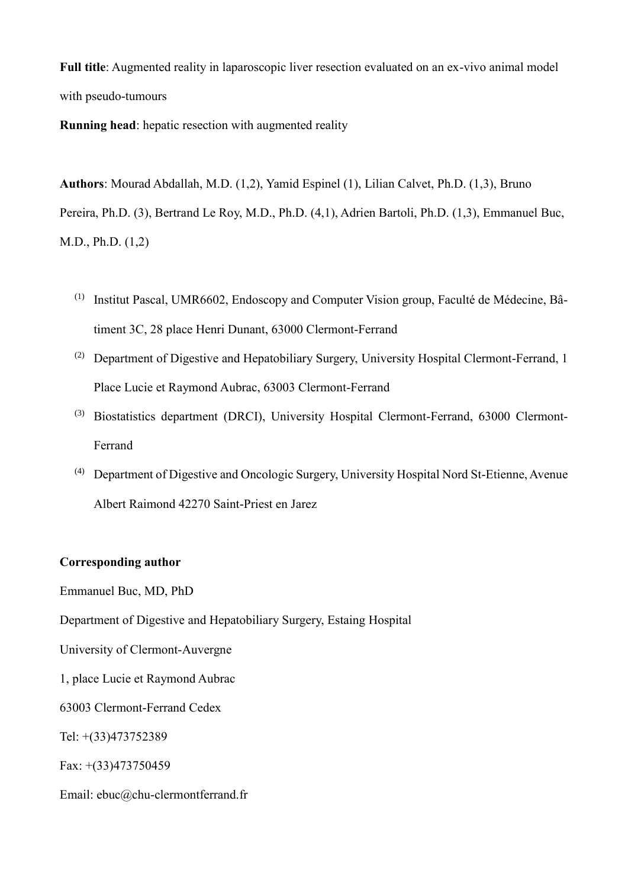**Full title**: Augmented reality in laparoscopic liver resection evaluated on an ex-vivo animal model with pseudo-tumours

**Running head**: hepatic resection with augmented reality

**Authors**: Mourad Abdallah, M.D. (1,2), Yamid Espinel (1), Lilian Calvet, Ph.D. (1,3), Bruno Pereira, Ph.D. (3), Bertrand Le Roy, M.D., Ph.D. (4,1), Adrien Bartoli, Ph.D. (1,3), Emmanuel Buc, M.D., Ph.D. (1,2)

- (1) Institut Pascal, UMR6602, Endoscopy and Computer Vision group, Faculté de Médecine, Bâtiment 3C, 28 place Henri Dunant, 63000 Clermont-Ferrand
- (2) Department of Digestive and Hepatobiliary Surgery, University Hospital Clermont-Ferrand, 1 Place Lucie et Raymond Aubrac, 63003 Clermont-Ferrand
- (3) Biostatistics department (DRCI), University Hospital Clermont-Ferrand, 63000 Clermont-Ferrand
- (4) Department of Digestive and Oncologic Surgery, University Hospital Nord St-Etienne, Avenue Albert Raimond 42270 Saint-Priest en Jarez

## **Corresponding author**

Emmanuel Buc, MD, PhD

Department of Digestive and Hepatobiliary Surgery, Estaing Hospital

University of Clermont-Auvergne

1, place Lucie et Raymond Aubrac

63003 Clermont-Ferrand Cedex

Tel: +(33)473752389

Fax: +(33)473750459

Email: ebuc@chu-clermontferrand.fr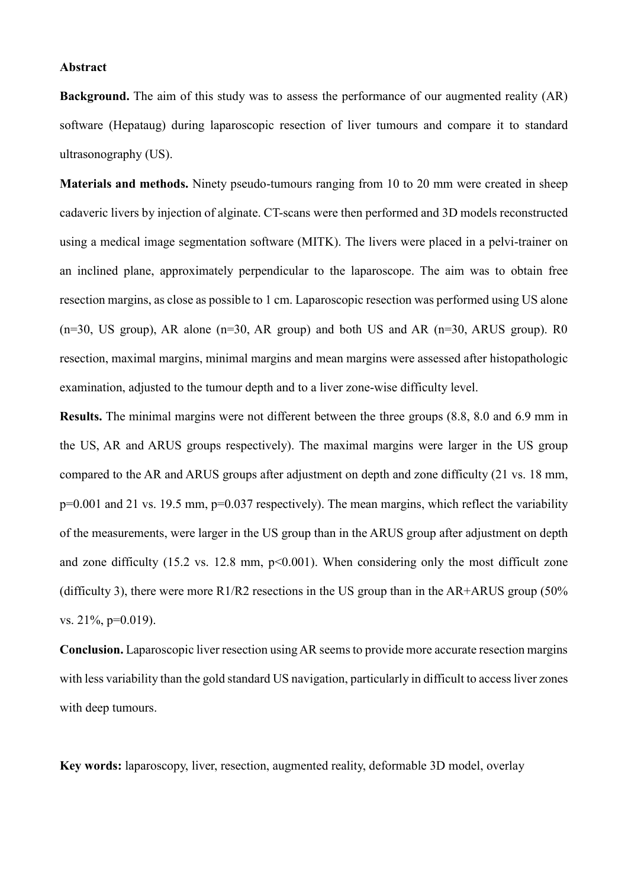#### **Abstract**

**Background.** The aim of this study was to assess the performance of our augmented reality (AR) software (Hepataug) during laparoscopic resection of liver tumours and compare it to standard ultrasonography (US).

**Materials and methods.** Ninety pseudo-tumours ranging from 10 to 20 mm were created in sheep cadaveric livers by injection of alginate. CT-scans were then performed and 3D models reconstructed using a medical image segmentation software (MITK). The livers were placed in a pelvi-trainer on an inclined plane, approximately perpendicular to the laparoscope. The aim was to obtain free resection margins, as close as possible to 1 cm. Laparoscopic resection was performed using US alone  $(n=30, US group)$ , AR alone  $(n=30, AR group)$  and both US and AR  $(n=30, ARUS group)$ . R0 resection, maximal margins, minimal margins and mean margins were assessed after histopathologic examination, adjusted to the tumour depth and to a liver zone-wise difficulty level.

**Results.** The minimal margins were not different between the three groups (8.8, 8.0 and 6.9 mm in the US, AR and ARUS groups respectively). The maximal margins were larger in the US group compared to the AR and ARUS groups after adjustment on depth and zone difficulty (21 vs. 18 mm, p=0.001 and 21 vs. 19.5 mm, p=0.037 respectively). The mean margins, which reflect the variability of the measurements, were larger in the US group than in the ARUS group after adjustment on depth and zone difficulty  $(15.2 \text{ vs. } 12.8 \text{ mm}, \text{ p} < 0.001)$ . When considering only the most difficult zone (difficulty 3), there were more  $R1/R2$  resections in the US group than in the AR+ARUS group (50%) vs. 21%, p=0.019).

**Conclusion.** Laparoscopic liver resection using AR seems to provide more accurate resection margins with less variability than the gold standard US navigation, particularly in difficult to access liver zones with deep tumours.

**Key words:** laparoscopy, liver, resection, augmented reality, deformable 3D model, overlay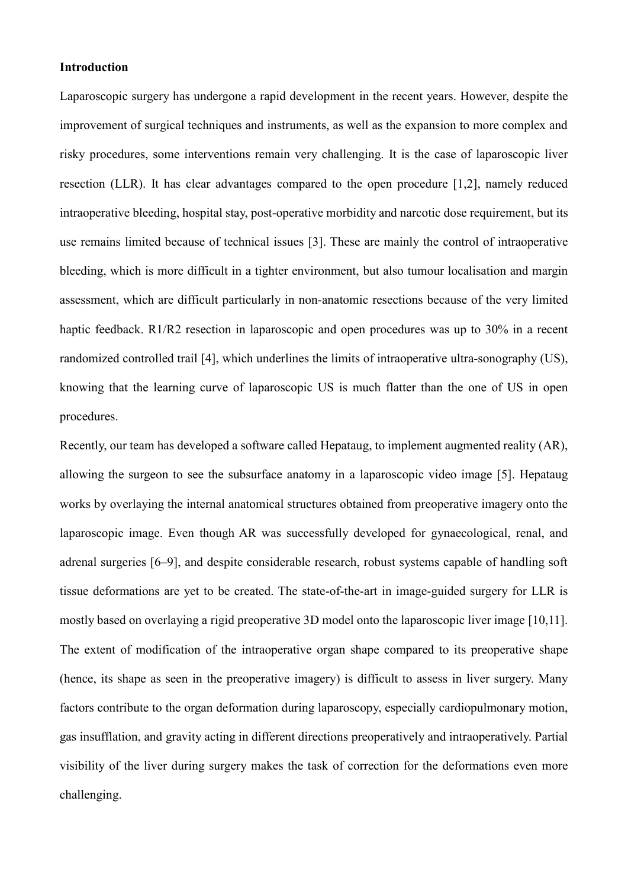## **Introduction**

Laparoscopic surgery has undergone a rapid development in the recent years. However, despite the improvement of surgical techniques and instruments, as well as the expansion to more complex and risky procedures, some interventions remain very challenging. It is the case of laparoscopic liver resection (LLR). It has clear advantages compared to the open procedure [1,2], namely reduced intraoperative bleeding, hospital stay, post-operative morbidity and narcotic dose requirement, but its use remains limited because of technical issues [3]. These are mainly the control of intraoperative bleeding, which is more difficult in a tighter environment, but also tumour localisation and margin assessment, which are difficult particularly in non-anatomic resections because of the very limited haptic feedback. R1/R2 resection in laparoscopic and open procedures was up to 30% in a recent randomized controlled trail [4], which underlines the limits of intraoperative ultra-sonography (US), knowing that the learning curve of laparoscopic US is much flatter than the one of US in open procedures.

Recently, our team has developed a software called Hepataug, to implement augmented reality (AR), allowing the surgeon to see the subsurface anatomy in a laparoscopic video image [5]. Hepataug works by overlaying the internal anatomical structures obtained from preoperative imagery onto the laparoscopic image. Even though AR was successfully developed for gynaecological, renal, and adrenal surgeries [6–9], and despite considerable research, robust systems capable of handling soft tissue deformations are yet to be created. The state-of-the-art in image-guided surgery for LLR is mostly based on overlaying a rigid preoperative 3D model onto the laparoscopic liver image [10,11]. The extent of modification of the intraoperative organ shape compared to its preoperative shape (hence, its shape as seen in the preoperative imagery) is difficult to assess in liver surgery. Many factors contribute to the organ deformation during laparoscopy, especially cardiopulmonary motion, gas insufflation, and gravity acting in different directions preoperatively and intraoperatively. Partial visibility of the liver during surgery makes the task of correction for the deformations even more challenging.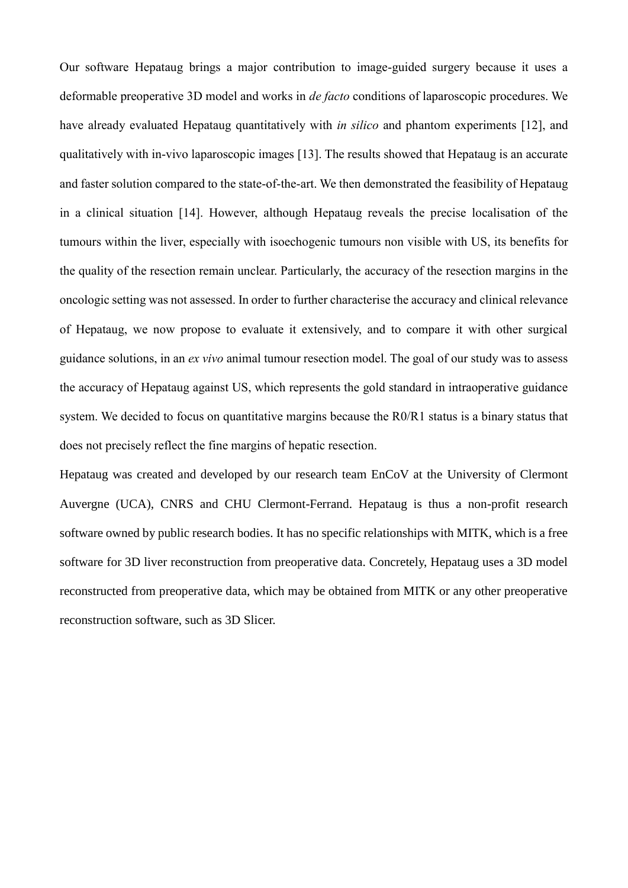Our software Hepataug brings a major contribution to image-guided surgery because it uses a deformable preoperative 3D model and works in *de facto* conditions of laparoscopic procedures. We have already evaluated Hepataug quantitatively with *in silico* and phantom experiments [12], and qualitatively with in-vivo laparoscopic images [13]. The results showed that Hepataug is an accurate and faster solution compared to the state-of-the-art. We then demonstrated the feasibility of Hepataug in a clinical situation [14]. However, although Hepataug reveals the precise localisation of the tumours within the liver, especially with isoechogenic tumours non visible with US, its benefits for the quality of the resection remain unclear. Particularly, the accuracy of the resection margins in the oncologic setting was not assessed. In order to further characterise the accuracy and clinical relevance of Hepataug, we now propose to evaluate it extensively, and to compare it with other surgical guidance solutions, in an *ex vivo* animal tumour resection model. The goal of our study was to assess the accuracy of Hepataug against US, which represents the gold standard in intraoperative guidance system. We decided to focus on quantitative margins because the R0/R1 status is a binary status that does not precisely reflect the fine margins of hepatic resection.

Hepataug was created and developed by our research team EnCoV at the University of Clermont Auvergne (UCA), CNRS and CHU Clermont-Ferrand. Hepataug is thus a non-profit research software owned by public research bodies. It has no specific relationships with MITK, which is a free software for 3D liver reconstruction from preoperative data. Concretely, Hepataug uses a 3D model reconstructed from preoperative data, which may be obtained from MITK or any other preoperative reconstruction software, such as 3D Slicer.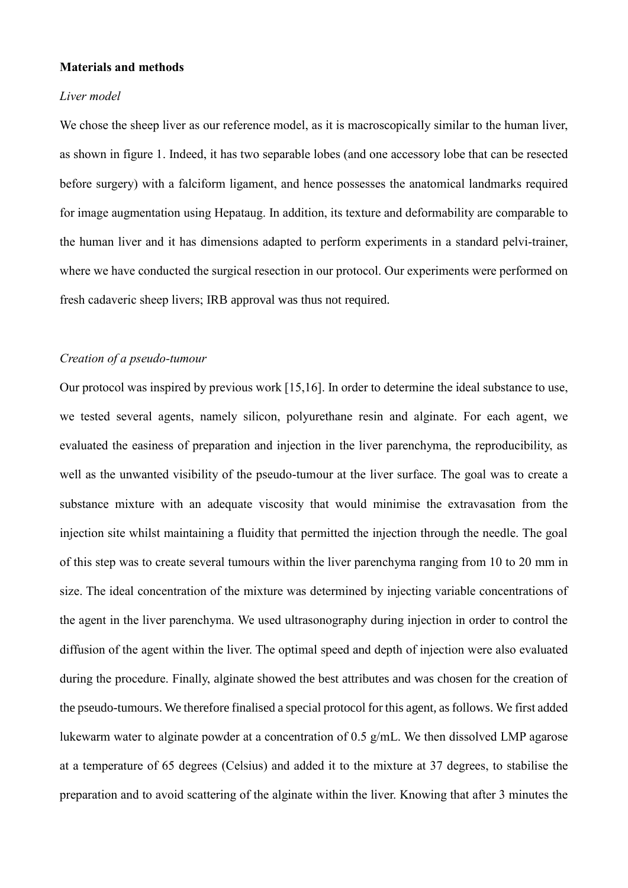## **Materials and methods**

#### *Liver model*

We chose the sheep liver as our reference model, as it is macroscopically similar to the human liver, as shown in figure 1. Indeed, it has two separable lobes (and one accessory lobe that can be resected before surgery) with a falciform ligament, and hence possesses the anatomical landmarks required for image augmentation using Hepataug. In addition, its texture and deformability are comparable to the human liver and it has dimensions adapted to perform experiments in a standard pelvi-trainer, where we have conducted the surgical resection in our protocol. Our experiments were performed on fresh cadaveric sheep livers; IRB approval was thus not required.

#### *Creation of a pseudo-tumour*

Our protocol was inspired by previous work [15,16]. In order to determine the ideal substance to use, we tested several agents, namely silicon, polyurethane resin and alginate. For each agent, we evaluated the easiness of preparation and injection in the liver parenchyma, the reproducibility, as well as the unwanted visibility of the pseudo-tumour at the liver surface. The goal was to create a substance mixture with an adequate viscosity that would minimise the extravasation from the injection site whilst maintaining a fluidity that permitted the injection through the needle. The goal of this step was to create several tumours within the liver parenchyma ranging from 10 to 20 mm in size. The ideal concentration of the mixture was determined by injecting variable concentrations of the agent in the liver parenchyma. We used ultrasonography during injection in order to control the diffusion of the agent within the liver. The optimal speed and depth of injection were also evaluated during the procedure. Finally, alginate showed the best attributes and was chosen for the creation of the pseudo-tumours. We therefore finalised a special protocol for this agent, as follows. We first added lukewarm water to alginate powder at a concentration of 0.5 g/mL. We then dissolved LMP agarose at a temperature of 65 degrees (Celsius) and added it to the mixture at 37 degrees, to stabilise the preparation and to avoid scattering of the alginate within the liver. Knowing that after 3 minutes the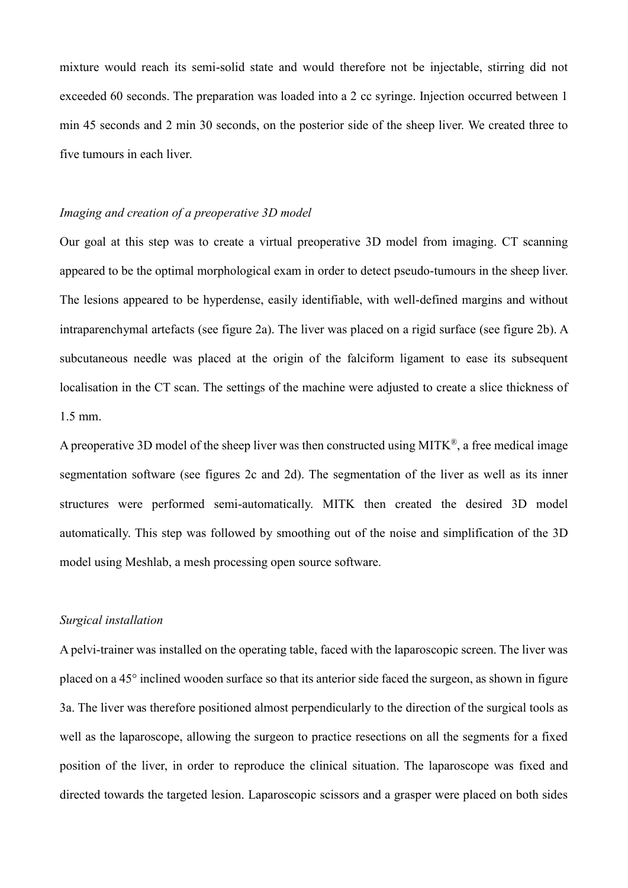mixture would reach its semi-solid state and would therefore not be injectable, stirring did not exceeded 60 seconds. The preparation was loaded into a 2 cc syringe. Injection occurred between 1 min 45 seconds and 2 min 30 seconds, on the posterior side of the sheep liver. We created three to five tumours in each liver.

#### *Imaging and creation of a preoperative 3D model*

Our goal at this step was to create a virtual preoperative 3D model from imaging. CT scanning appeared to be the optimal morphological exam in order to detect pseudo-tumours in the sheep liver. The lesions appeared to be hyperdense, easily identifiable, with well-defined margins and without intraparenchymal artefacts (see figure 2a). The liver was placed on a rigid surface (see figure 2b). A subcutaneous needle was placed at the origin of the falciform ligament to ease its subsequent localisation in the CT scan. The settings of the machine were adjusted to create a slice thickness of 1.5 mm.

A preoperative 3D model of the sheep liver was then constructed using MITK®, a free medical image segmentation software (see figures 2c and 2d). The segmentation of the liver as well as its inner structures were performed semi-automatically. MITK then created the desired 3D model automatically. This step was followed by smoothing out of the noise and simplification of the 3D model using Meshlab, a mesh processing open source software.

### *Surgical installation*

A pelvi-trainer was installed on the operating table, faced with the laparoscopic screen. The liver was placed on a 45° inclined wooden surface so that its anterior side faced the surgeon, as shown in figure 3a. The liver was therefore positioned almost perpendicularly to the direction of the surgical tools as well as the laparoscope, allowing the surgeon to practice resections on all the segments for a fixed position of the liver, in order to reproduce the clinical situation. The laparoscope was fixed and directed towards the targeted lesion. Laparoscopic scissors and a grasper were placed on both sides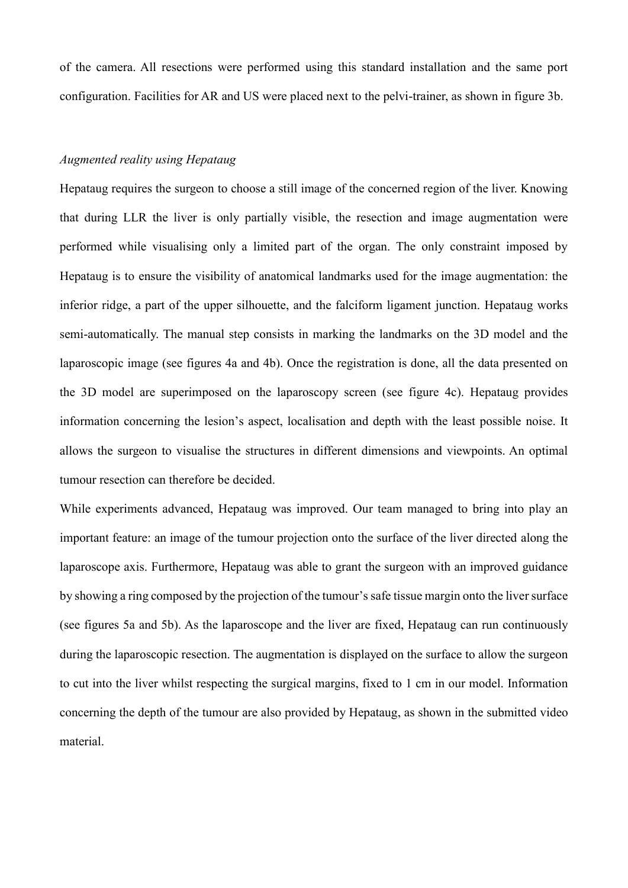of the camera. All resections were performed using this standard installation and the same port configuration. Facilities for AR and US were placed next to the pelvi-trainer, as shown in figure 3b.

## *Augmented reality using Hepataug*

Hepataug requires the surgeon to choose a still image of the concerned region of the liver. Knowing that during LLR the liver is only partially visible, the resection and image augmentation were performed while visualising only a limited part of the organ. The only constraint imposed by Hepataug is to ensure the visibility of anatomical landmarks used for the image augmentation: the inferior ridge, a part of the upper silhouette, and the falciform ligament junction. Hepataug works semi-automatically. The manual step consists in marking the landmarks on the 3D model and the laparoscopic image (see figures 4a and 4b). Once the registration is done, all the data presented on the 3D model are superimposed on the laparoscopy screen (see figure 4c). Hepataug provides information concerning the lesion's aspect, localisation and depth with the least possible noise. It allows the surgeon to visualise the structures in different dimensions and viewpoints. An optimal tumour resection can therefore be decided.

While experiments advanced, Hepataug was improved. Our team managed to bring into play an important feature: an image of the tumour projection onto the surface of the liver directed along the laparoscope axis. Furthermore, Hepataug was able to grant the surgeon with an improved guidance by showing a ring composed by the projection of the tumour's safe tissue margin onto the liver surface (see figures 5a and 5b). As the laparoscope and the liver are fixed, Hepataug can run continuously during the laparoscopic resection. The augmentation is displayed on the surface to allow the surgeon to cut into the liver whilst respecting the surgical margins, fixed to 1 cm in our model. Information concerning the depth of the tumour are also provided by Hepataug, as shown in the submitted video material.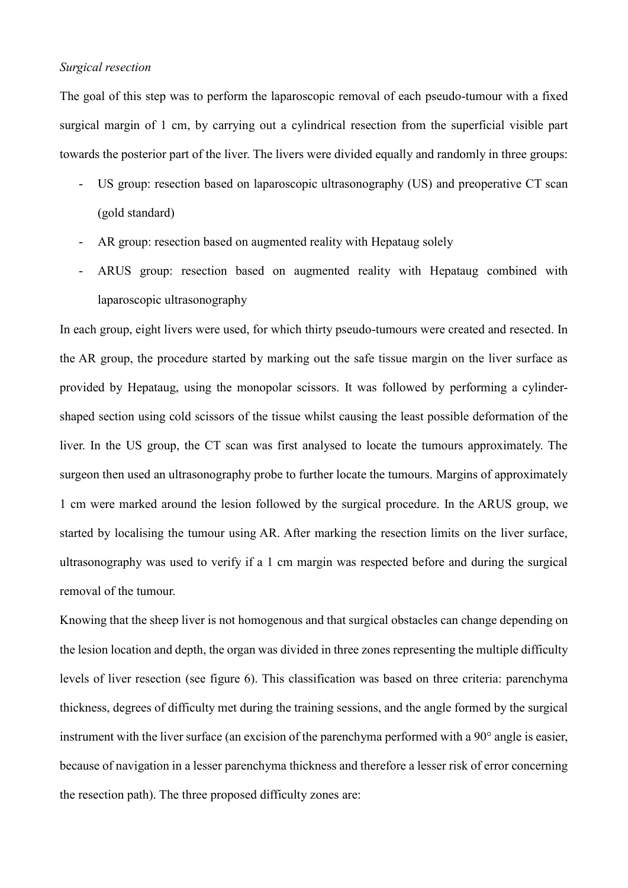### *Surgical resection*

The goal of this step was to perform the laparoscopic removal of each pseudo-tumour with a fixed surgical margin of 1 cm, by carrying out a cylindrical resection from the superficial visible part towards the posterior part of the liver. The livers were divided equally and randomly in three groups:

- US group: resection based on laparoscopic ultrasonography (US) and preoperative CT scan (gold standard)
- AR group: resection based on augmented reality with Hepataug solely
- ARUS group: resection based on augmented reality with Hepataug combined with laparoscopic ultrasonography

In each group, eight livers were used, for which thirty pseudo-tumours were created and resected. In the AR group, the procedure started by marking out the safe tissue margin on the liver surface as provided by Hepataug, using the monopolar scissors. It was followed by performing a cylindershaped section using cold scissors of the tissue whilst causing the least possible deformation of the liver. In the US group, the CT scan was first analysed to locate the tumours approximately. The surgeon then used an ultrasonography probe to further locate the tumours. Margins of approximately 1 cm were marked around the lesion followed by the surgical procedure. In the ARUS group, we started by localising the tumour using AR. After marking the resection limits on the liver surface, ultrasonography was used to verify if a 1 cm margin was respected before and during the surgical removal of the tumour.

Knowing that the sheep liver is not homogenous and that surgical obstacles can change depending on the lesion location and depth, the organ was divided in three zones representing the multiple difficulty levels of liver resection (see figure 6). This classification was based on three criteria: parenchyma thickness, degrees of difficulty met during the training sessions, and the angle formed by the surgical instrument with the liver surface (an excision of the parenchyma performed with a 90° angle is easier, because of navigation in a lesser parenchyma thickness and therefore a lesser risk of error concerning the resection path). The three proposed difficulty zones are: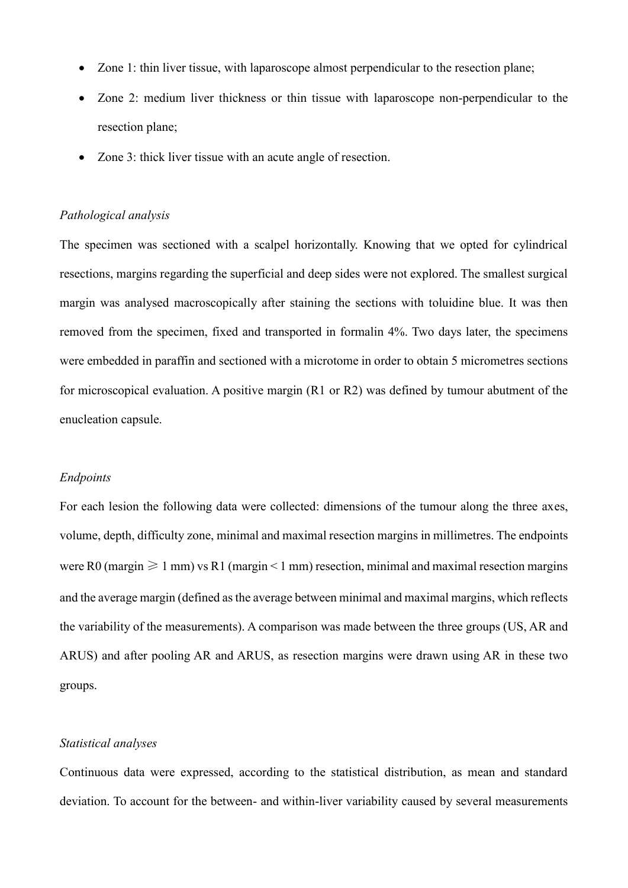- Zone 1: thin liver tissue, with laparoscope almost perpendicular to the resection plane;
- Zone 2: medium liver thickness or thin tissue with laparoscope non-perpendicular to the resection plane;
- Zone 3: thick liver tissue with an acute angle of resection.

## *Pathological analysis*

The specimen was sectioned with a scalpel horizontally. Knowing that we opted for cylindrical resections, margins regarding the superficial and deep sides were not explored. The smallest surgical margin was analysed macroscopically after staining the sections with toluidine blue. It was then removed from the specimen, fixed and transported in formalin 4%. Two days later, the specimens were embedded in paraffin and sectioned with a microtome in order to obtain 5 micrometres sections for microscopical evaluation. A positive margin (R1 or R2) was defined by tumour abutment of the enucleation capsule.

#### *Endpoints*

For each lesion the following data were collected: dimensions of the tumour along the three axes, volume, depth, difficulty zone, minimal and maximal resection margins in millimetres. The endpoints were R0 (margin  $\geq 1$  mm) vs R1 (margin < 1 mm) resection, minimal and maximal resection margins and the average margin (defined as the average between minimal and maximal margins, which reflects the variability of the measurements). A comparison was made between the three groups (US, AR and ARUS) and after pooling AR and ARUS, as resection margins were drawn using AR in these two groups.

### *Statistical analyses*

Continuous data were expressed, according to the statistical distribution, as mean and standard deviation. To account for the between- and within-liver variability caused by several measurements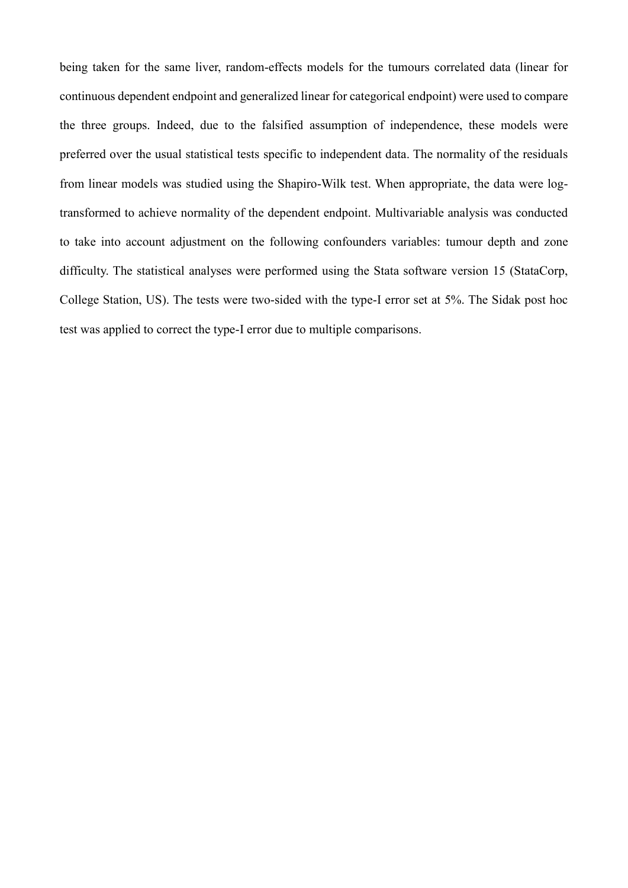being taken for the same liver, random-effects models for the tumours correlated data (linear for continuous dependent endpoint and generalized linear for categorical endpoint) were used to compare the three groups. Indeed, due to the falsified assumption of independence, these models were preferred over the usual statistical tests specific to independent data. The normality of the residuals from linear models was studied using the Shapiro-Wilk test. When appropriate, the data were logtransformed to achieve normality of the dependent endpoint. Multivariable analysis was conducted to take into account adjustment on the following confounders variables: tumour depth and zone difficulty. The statistical analyses were performed using the Stata software version 15 (StataCorp, College Station, US). The tests were two-sided with the type-I error set at 5%. The Sidak post hoc test was applied to correct the type-I error due to multiple comparisons.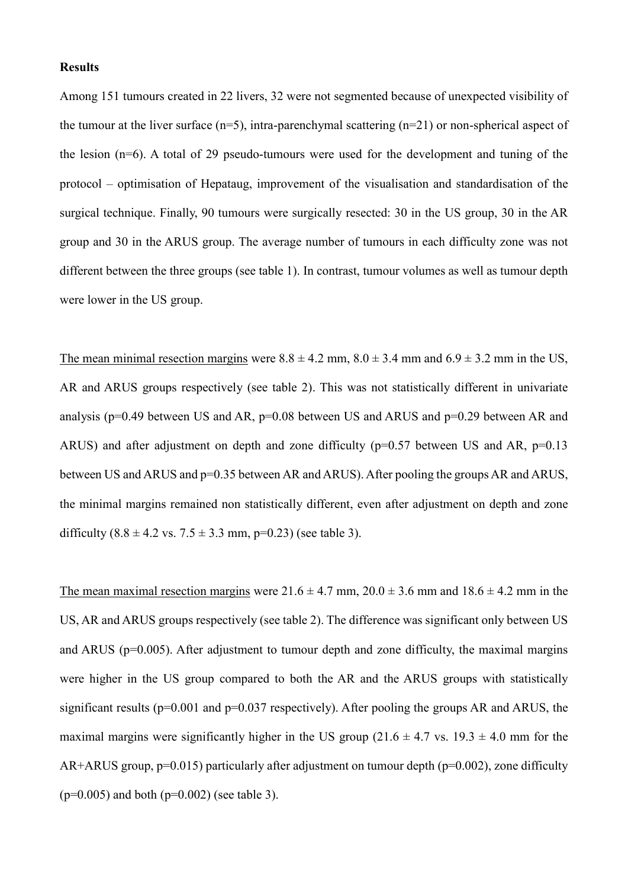#### **Results**

Among 151 tumours created in 22 livers, 32 were not segmented because of unexpected visibility of the tumour at the liver surface ( $n=5$ ), intra-parenchymal scattering ( $n=21$ ) or non-spherical aspect of the lesion (n=6). A total of 29 pseudo-tumours were used for the development and tuning of the protocol – optimisation of Hepataug, improvement of the visualisation and standardisation of the surgical technique. Finally, 90 tumours were surgically resected: 30 in the US group, 30 in the AR group and 30 in the ARUS group. The average number of tumours in each difficulty zone was not different between the three groups (see table 1). In contrast, tumour volumes as well as tumour depth were lower in the US group.

The mean minimal resection margins were  $8.8 \pm 4.2$  mm,  $8.0 \pm 3.4$  mm and  $6.9 \pm 3.2$  mm in the US, AR and ARUS groups respectively (see table 2). This was not statistically different in univariate analysis ( $p=0.49$  between US and AR,  $p=0.08$  between US and ARUS and  $p=0.29$  between AR and ARUS) and after adjustment on depth and zone difficulty ( $p=0.57$  between US and AR,  $p=0.13$ between US and ARUS and p=0.35 between AR and ARUS). After pooling the groups AR and ARUS, the minimal margins remained non statistically different, even after adjustment on depth and zone difficulty  $(8.8 \pm 4.2 \text{ vs. } 7.5 \pm 3.3 \text{ mm}, \text{p=0.23})$  (see table 3).

The mean maximal resection margins were  $21.6 \pm 4.7$  mm,  $20.0 \pm 3.6$  mm and  $18.6 \pm 4.2$  mm in the US, AR and ARUS groups respectively (see table 2). The difference was significant only between US and ARUS (p=0.005). After adjustment to tumour depth and zone difficulty, the maximal margins were higher in the US group compared to both the AR and the ARUS groups with statistically significant results ( $p=0.001$  and  $p=0.037$  respectively). After pooling the groups AR and ARUS, the maximal margins were significantly higher in the US group ( $21.6 \pm 4.7$  vs.  $19.3 \pm 4.0$  mm for the AR+ARUS group,  $p=0.015$ ) particularly after adjustment on tumour depth ( $p=0.002$ ), zone difficulty  $(p=0.005)$  and both  $(p=0.002)$  (see table 3).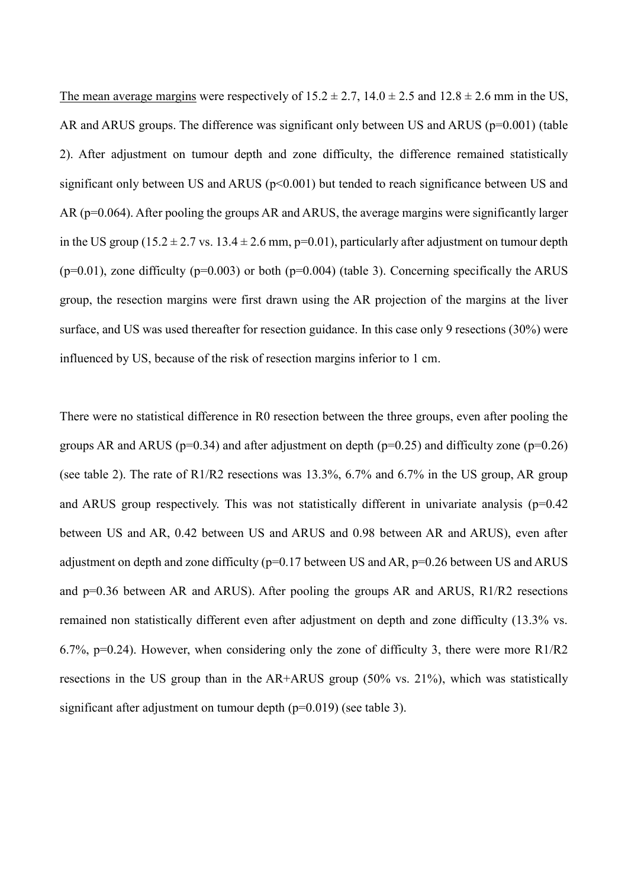The mean average margins were respectively of  $15.2 \pm 2.7$ ,  $14.0 \pm 2.5$  and  $12.8 \pm 2.6$  mm in the US, AR and ARUS groups. The difference was significant only between US and ARUS (p=0.001) (table 2). After adjustment on tumour depth and zone difficulty, the difference remained statistically significant only between US and ARUS ( $p<0.001$ ) but tended to reach significance between US and AR (p=0.064). After pooling the groups AR and ARUS, the average margins were significantly larger in the US group ( $15.2 \pm 2.7$  vs.  $13.4 \pm 2.6$  mm, p=0.01), particularly after adjustment on tumour depth  $(p=0.01)$ , zone difficulty  $(p=0.003)$  or both  $(p=0.004)$  (table 3). Concerning specifically the ARUS group, the resection margins were first drawn using the AR projection of the margins at the liver surface, and US was used thereafter for resection guidance. In this case only 9 resections (30%) were influenced by US, because of the risk of resection margins inferior to 1 cm.

There were no statistical difference in R0 resection between the three groups, even after pooling the groups AR and ARUS ( $p=0.34$ ) and after adjustment on depth ( $p=0.25$ ) and difficulty zone ( $p=0.26$ ) (see table 2). The rate of R1/R2 resections was 13.3%, 6.7% and 6.7% in the US group, AR group and ARUS group respectively. This was not statistically different in univariate analysis ( $p=0.42$ ) between US and AR, 0.42 between US and ARUS and 0.98 between AR and ARUS), even after adjustment on depth and zone difficulty ( $p=0.17$  between US and AR,  $p=0.26$  between US and ARUS and  $p=0.36$  between AR and ARUS). After pooling the groups AR and ARUS, R1/R2 resections remained non statistically different even after adjustment on depth and zone difficulty (13.3% vs. 6.7%, p=0.24). However, when considering only the zone of difficulty 3, there were more R1/R2 resections in the US group than in the AR+ARUS group (50% vs. 21%), which was statistically significant after adjustment on tumour depth (p=0.019) (see table 3).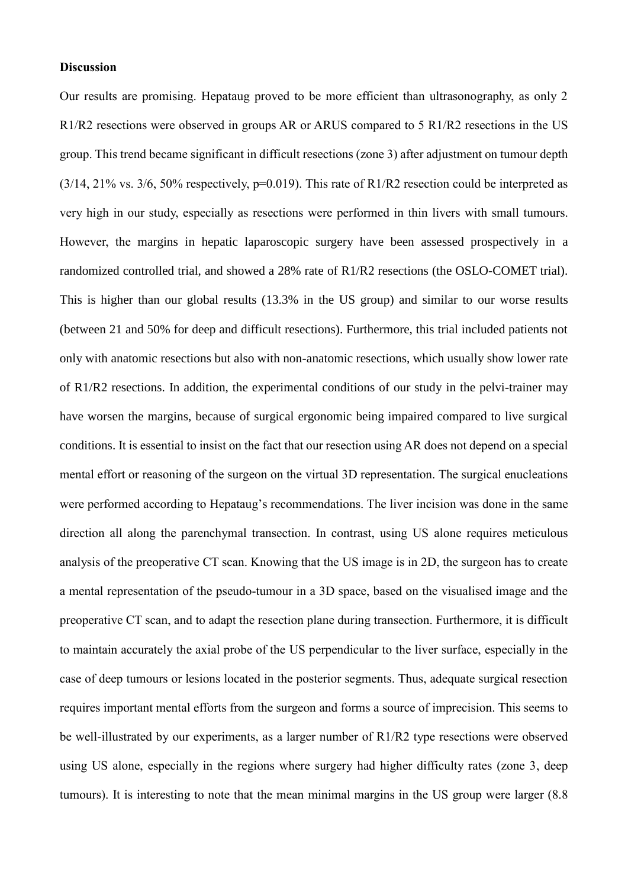### **Discussion**

Our results are promising. Hepataug proved to be more efficient than ultrasonography, as only 2 R1/R2 resections were observed in groups AR or ARUS compared to 5 R1/R2 resections in the US group. This trend became significant in difficult resections (zone 3) after adjustment on tumour depth  $(3/14, 21\%$  vs.  $3/6, 50\%$  respectively, p=0.019). This rate of R1/R2 resection could be interpreted as very high in our study, especially as resections were performed in thin livers with small tumours. However, the margins in hepatic laparoscopic surgery have been assessed prospectively in a randomized controlled trial, and showed a 28% rate of R1/R2 resections (the OSLO-COMET trial). This is higher than our global results (13.3% in the US group) and similar to our worse results (between 21 and 50% for deep and difficult resections). Furthermore, this trial included patients not only with anatomic resections but also with non-anatomic resections, which usually show lower rate of R1/R2 resections. In addition, the experimental conditions of our study in the pelvi-trainer may have worsen the margins, because of surgical ergonomic being impaired compared to live surgical conditions. It is essential to insist on the fact that our resection using AR does not depend on a special mental effort or reasoning of the surgeon on the virtual 3D representation. The surgical enucleations were performed according to Hepataug's recommendations. The liver incision was done in the same direction all along the parenchymal transection. In contrast, using US alone requires meticulous analysis of the preoperative CT scan. Knowing that the US image is in 2D, the surgeon has to create a mental representation of the pseudo-tumour in a 3D space, based on the visualised image and the preoperative CT scan, and to adapt the resection plane during transection. Furthermore, it is difficult to maintain accurately the axial probe of the US perpendicular to the liver surface, especially in the case of deep tumours or lesions located in the posterior segments. Thus, adequate surgical resection requires important mental efforts from the surgeon and forms a source of imprecision. This seems to be well-illustrated by our experiments, as a larger number of R1/R2 type resections were observed using US alone, especially in the regions where surgery had higher difficulty rates (zone 3, deep tumours). It is interesting to note that the mean minimal margins in the US group were larger (8.8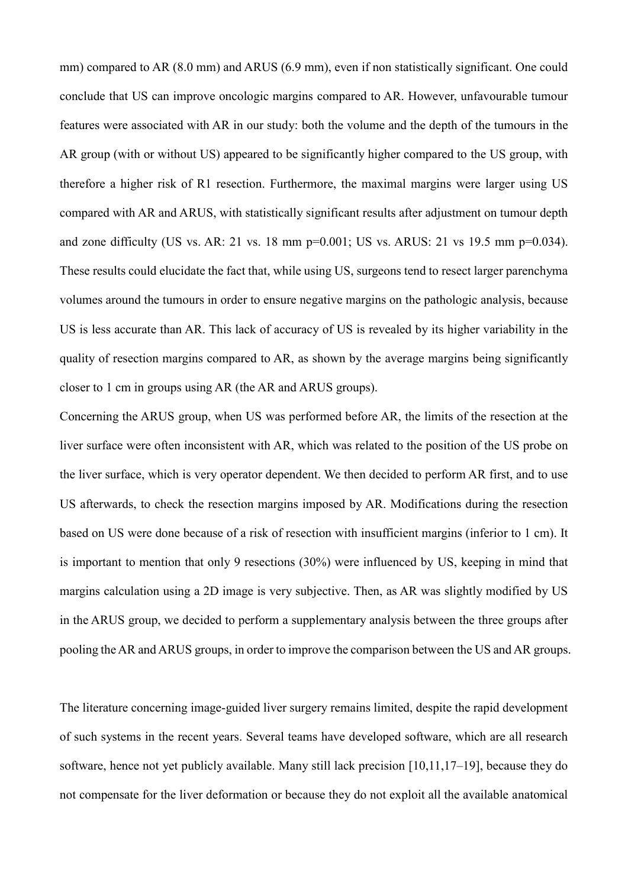mm) compared to AR (8.0 mm) and ARUS (6.9 mm), even if non statistically significant. One could conclude that US can improve oncologic margins compared to AR. However, unfavourable tumour features were associated with AR in our study: both the volume and the depth of the tumours in the AR group (with or without US) appeared to be significantly higher compared to the US group, with therefore a higher risk of R1 resection. Furthermore, the maximal margins were larger using US compared with AR and ARUS, with statistically significant results after adjustment on tumour depth and zone difficulty (US vs. AR: 21 vs. 18 mm  $p=0.001$ ; US vs. ARUS: 21 vs 19.5 mm  $p=0.034$ ). These results could elucidate the fact that, while using US, surgeons tend to resect larger parenchyma volumes around the tumours in order to ensure negative margins on the pathologic analysis, because US is less accurate than AR. This lack of accuracy of US is revealed by its higher variability in the quality of resection margins compared to AR, as shown by the average margins being significantly closer to 1 cm in groups using AR (the AR and ARUS groups).

Concerning the ARUS group, when US was performed before AR, the limits of the resection at the liver surface were often inconsistent with AR, which was related to the position of the US probe on the liver surface, which is very operator dependent. We then decided to perform AR first, and to use US afterwards, to check the resection margins imposed by AR. Modifications during the resection based on US were done because of a risk of resection with insufficient margins (inferior to 1 cm). It is important to mention that only 9 resections (30%) were influenced by US, keeping in mind that margins calculation using a 2D image is very subjective. Then, as AR was slightly modified by US in the ARUS group, we decided to perform a supplementary analysis between the three groups after pooling the AR and ARUS groups, in order to improve the comparison between the US and AR groups.

The literature concerning image-guided liver surgery remains limited, despite the rapid development of such systems in the recent years. Several teams have developed software, which are all research software, hence not yet publicly available. Many still lack precision [10,11,17–19], because they do not compensate for the liver deformation or because they do not exploit all the available anatomical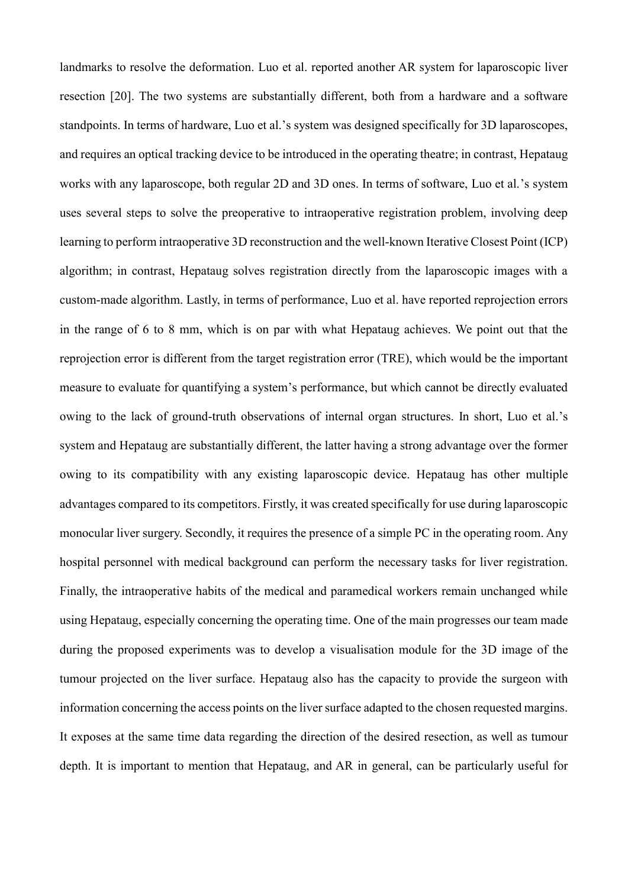landmarks to resolve the deformation. Luo et al. reported another AR system for laparoscopic liver resection [20]. The two systems are substantially different, both from a hardware and a software standpoints. In terms of hardware, Luo et al.'s system was designed specifically for 3D laparoscopes, and requires an optical tracking device to be introduced in the operating theatre; in contrast, Hepataug works with any laparoscope, both regular 2D and 3D ones. In terms of software, Luo et al.'s system uses several steps to solve the preoperative to intraoperative registration problem, involving deep learning to perform intraoperative 3D reconstruction and the well-known Iterative Closest Point (ICP) algorithm; in contrast, Hepataug solves registration directly from the laparoscopic images with a custom-made algorithm. Lastly, in terms of performance, Luo et al. have reported reprojection errors in the range of 6 to 8 mm, which is on par with what Hepataug achieves. We point out that the reprojection error is different from the target registration error (TRE), which would be the important measure to evaluate for quantifying a system's performance, but which cannot be directly evaluated owing to the lack of ground-truth observations of internal organ structures. In short, Luo et al.'s system and Hepataug are substantially different, the latter having a strong advantage over the former owing to its compatibility with any existing laparoscopic device. Hepataug has other multiple advantages compared to its competitors. Firstly, it was created specifically for use during laparoscopic monocular liver surgery. Secondly, it requires the presence of a simple PC in the operating room. Any hospital personnel with medical background can perform the necessary tasks for liver registration. Finally, the intraoperative habits of the medical and paramedical workers remain unchanged while using Hepataug, especially concerning the operating time. One of the main progresses our team made during the proposed experiments was to develop a visualisation module for the 3D image of the tumour projected on the liver surface. Hepataug also has the capacity to provide the surgeon with information concerning the access points on the liver surface adapted to the chosen requested margins. It exposes at the same time data regarding the direction of the desired resection, as well as tumour depth. It is important to mention that Hepataug, and AR in general, can be particularly useful for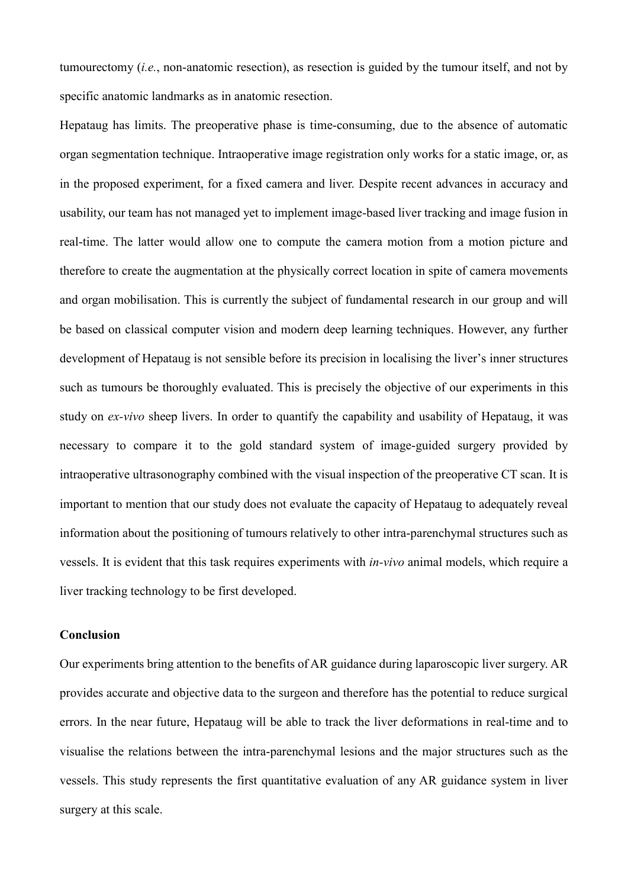tumourectomy (*i.e.*, non-anatomic resection), as resection is guided by the tumour itself, and not by specific anatomic landmarks as in anatomic resection.

Hepataug has limits. The preoperative phase is time-consuming, due to the absence of automatic organ segmentation technique. Intraoperative image registration only works for a static image, or, as in the proposed experiment, for a fixed camera and liver. Despite recent advances in accuracy and usability, our team has not managed yet to implement image-based liver tracking and image fusion in real-time. The latter would allow one to compute the camera motion from a motion picture and therefore to create the augmentation at the physically correct location in spite of camera movements and organ mobilisation. This is currently the subject of fundamental research in our group and will be based on classical computer vision and modern deep learning techniques. However, any further development of Hepataug is not sensible before its precision in localising the liver's inner structures such as tumours be thoroughly evaluated. This is precisely the objective of our experiments in this study on *ex-vivo* sheep livers. In order to quantify the capability and usability of Hepataug, it was necessary to compare it to the gold standard system of image-guided surgery provided by intraoperative ultrasonography combined with the visual inspection of the preoperative CT scan. It is important to mention that our study does not evaluate the capacity of Hepataug to adequately reveal information about the positioning of tumours relatively to other intra-parenchymal structures such as vessels. It is evident that this task requires experiments with *in-vivo* animal models, which require a liver tracking technology to be first developed.

#### **Conclusion**

Our experiments bring attention to the benefits of AR guidance during laparoscopic liver surgery. AR provides accurate and objective data to the surgeon and therefore has the potential to reduce surgical errors. In the near future, Hepataug will be able to track the liver deformations in real-time and to visualise the relations between the intra-parenchymal lesions and the major structures such as the vessels. This study represents the first quantitative evaluation of any AR guidance system in liver surgery at this scale.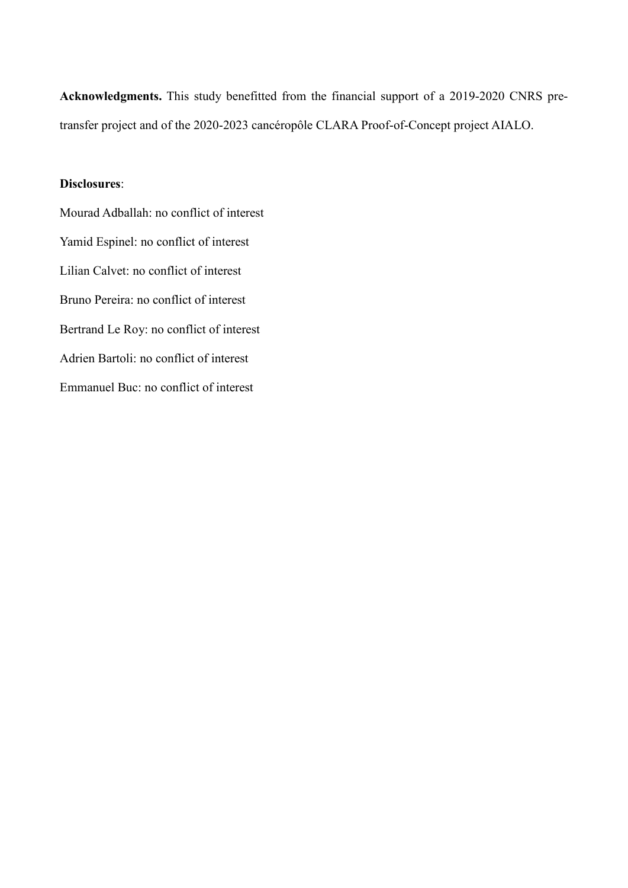**Acknowledgments.** This study benefitted from the financial support of a 2019-2020 CNRS pretransfer project and of the 2020-2023 cancéropôle CLARA Proof-of-Concept project AIALO.

## **Disclosures**:

Mourad Adballah: no conflict of interest Yamid Espinel: no conflict of interest Lilian Calvet: no conflict of interest Bruno Pereira: no conflict of interest Bertrand Le Roy: no conflict of interest Adrien Bartoli: no conflict of interest Emmanuel Buc: no conflict of interest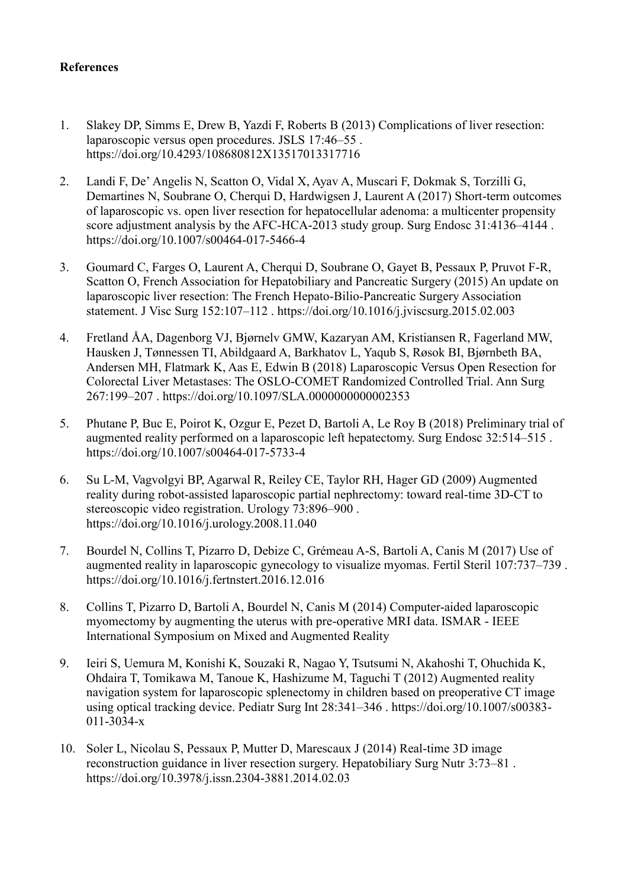# **References**

- 1. Slakey DP, Simms E, Drew B, Yazdi F, Roberts B (2013) Complications of liver resection: laparoscopic versus open procedures. JSLS 17:46–55 . https://doi.org/10.4293/108680812X13517013317716
- 2. Landi F, De' Angelis N, Scatton O, Vidal X, Ayav A, Muscari F, Dokmak S, Torzilli G, Demartines N, Soubrane O, Cherqui D, Hardwigsen J, Laurent A (2017) Short-term outcomes of laparoscopic vs. open liver resection for hepatocellular adenoma: a multicenter propensity score adjustment analysis by the AFC-HCA-2013 study group. Surg Endosc 31:4136–4144 . https://doi.org/10.1007/s00464-017-5466-4
- 3. Goumard C, Farges O, Laurent A, Cherqui D, Soubrane O, Gayet B, Pessaux P, Pruvot F-R, Scatton O, French Association for Hepatobiliary and Pancreatic Surgery (2015) An update on laparoscopic liver resection: The French Hepato-Bilio-Pancreatic Surgery Association statement. J Visc Surg 152:107–112 . https://doi.org/10.1016/j.jviscsurg.2015.02.003
- 4. Fretland ÅA, Dagenborg VJ, Bjørnelv GMW, Kazaryan AM, Kristiansen R, Fagerland MW, Hausken J, Tønnessen TI, Abildgaard A, Barkhatov L, Yaqub S, Røsok BI, Bjørnbeth BA, Andersen MH, Flatmark K, Aas E, Edwin B (2018) Laparoscopic Versus Open Resection for Colorectal Liver Metastases: The OSLO-COMET Randomized Controlled Trial. Ann Surg 267:199–207 . https://doi.org/10.1097/SLA.0000000000002353
- 5. Phutane P, Buc E, Poirot K, Ozgur E, Pezet D, Bartoli A, Le Roy B (2018) Preliminary trial of augmented reality performed on a laparoscopic left hepatectomy. Surg Endosc 32:514–515 . https://doi.org/10.1007/s00464-017-5733-4
- 6. Su L-M, Vagvolgyi BP, Agarwal R, Reiley CE, Taylor RH, Hager GD (2009) Augmented reality during robot-assisted laparoscopic partial nephrectomy: toward real-time 3D-CT to stereoscopic video registration. Urology 73:896–900 . https://doi.org/10.1016/j.urology.2008.11.040
- 7. Bourdel N, Collins T, Pizarro D, Debize C, Grémeau A-S, Bartoli A, Canis M (2017) Use of augmented reality in laparoscopic gynecology to visualize myomas. Fertil Steril 107:737–739 . https://doi.org/10.1016/j.fertnstert.2016.12.016
- 8. Collins T, Pizarro D, Bartoli A, Bourdel N, Canis M (2014) Computer-aided laparoscopic myomectomy by augmenting the uterus with pre-operative MRI data. ISMAR - IEEE International Symposium on Mixed and Augmented Reality
- 9. Ieiri S, Uemura M, Konishi K, Souzaki R, Nagao Y, Tsutsumi N, Akahoshi T, Ohuchida K, Ohdaira T, Tomikawa M, Tanoue K, Hashizume M, Taguchi T (2012) Augmented reality navigation system for laparoscopic splenectomy in children based on preoperative CT image using optical tracking device. Pediatr Surg Int 28:341–346 . https://doi.org/10.1007/s00383- 011-3034-x
- 10. Soler L, Nicolau S, Pessaux P, Mutter D, Marescaux J (2014) Real-time 3D image reconstruction guidance in liver resection surgery. Hepatobiliary Surg Nutr 3:73–81 . https://doi.org/10.3978/j.issn.2304-3881.2014.02.03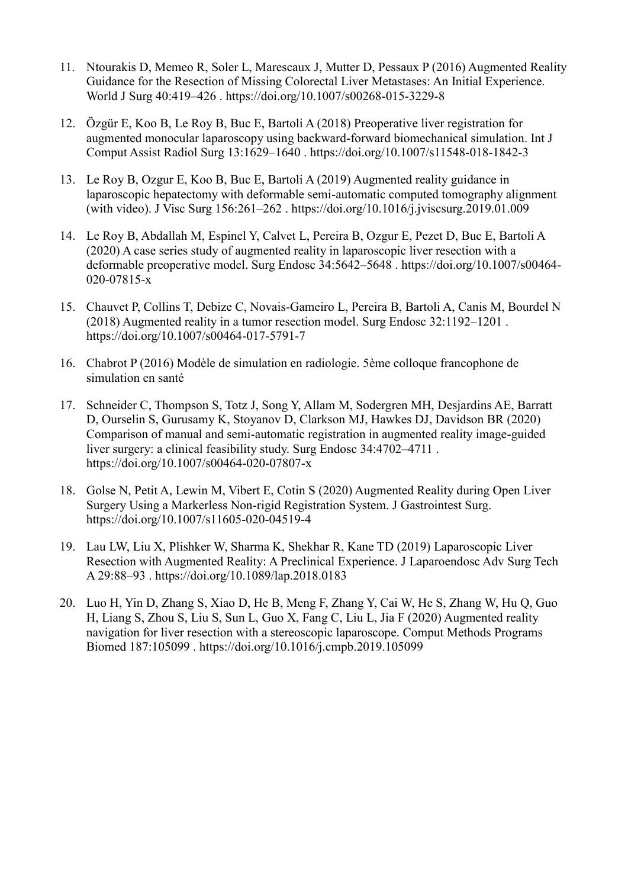- 11. Ntourakis D, Memeo R, Soler L, Marescaux J, Mutter D, Pessaux P (2016) Augmented Reality Guidance for the Resection of Missing Colorectal Liver Metastases: An Initial Experience. World J Surg 40:419–426 . https://doi.org/10.1007/s00268-015-3229-8
- 12. Özgür E, Koo B, Le Roy B, Buc E, Bartoli A (2018) Preoperative liver registration for augmented monocular laparoscopy using backward-forward biomechanical simulation. Int J Comput Assist Radiol Surg 13:1629–1640 . https://doi.org/10.1007/s11548-018-1842-3
- 13. Le Roy B, Ozgur E, Koo B, Buc E, Bartoli A (2019) Augmented reality guidance in laparoscopic hepatectomy with deformable semi-automatic computed tomography alignment (with video). J Visc Surg 156:261–262 . https://doi.org/10.1016/j.jviscsurg.2019.01.009
- 14. Le Roy B, Abdallah M, Espinel Y, Calvet L, Pereira B, Ozgur E, Pezet D, Buc E, Bartoli A (2020) A case series study of augmented reality in laparoscopic liver resection with a deformable preoperative model. Surg Endosc 34:5642–5648 . https://doi.org/10.1007/s00464- 020-07815-x
- 15. Chauvet P, Collins T, Debize C, Novais-Gameiro L, Pereira B, Bartoli A, Canis M, Bourdel N (2018) Augmented reality in a tumor resection model. Surg Endosc 32:1192–1201 . https://doi.org/10.1007/s00464-017-5791-7
- 16. Chabrot P (2016) Modèle de simulation en radiologie. 5ème colloque francophone de simulation en santé
- 17. Schneider C, Thompson S, Totz J, Song Y, Allam M, Sodergren MH, Desjardins AE, Barratt D, Ourselin S, Gurusamy K, Stoyanov D, Clarkson MJ, Hawkes DJ, Davidson BR (2020) Comparison of manual and semi-automatic registration in augmented reality image-guided liver surgery: a clinical feasibility study. Surg Endosc 34:4702–4711 . https://doi.org/10.1007/s00464-020-07807-x
- 18. Golse N, Petit A, Lewin M, Vibert E, Cotin S (2020) Augmented Reality during Open Liver Surgery Using a Markerless Non-rigid Registration System. J Gastrointest Surg. https://doi.org/10.1007/s11605-020-04519-4
- 19. Lau LW, Liu X, Plishker W, Sharma K, Shekhar R, Kane TD (2019) Laparoscopic Liver Resection with Augmented Reality: A Preclinical Experience. J Laparoendosc Adv Surg Tech A 29:88–93 . https://doi.org/10.1089/lap.2018.0183
- 20. Luo H, Yin D, Zhang S, Xiao D, He B, Meng F, Zhang Y, Cai W, He S, Zhang W, Hu Q, Guo H, Liang S, Zhou S, Liu S, Sun L, Guo X, Fang C, Liu L, Jia F (2020) Augmented reality navigation for liver resection with a stereoscopic laparoscope. Comput Methods Programs Biomed 187:105099 . https://doi.org/10.1016/j.cmpb.2019.105099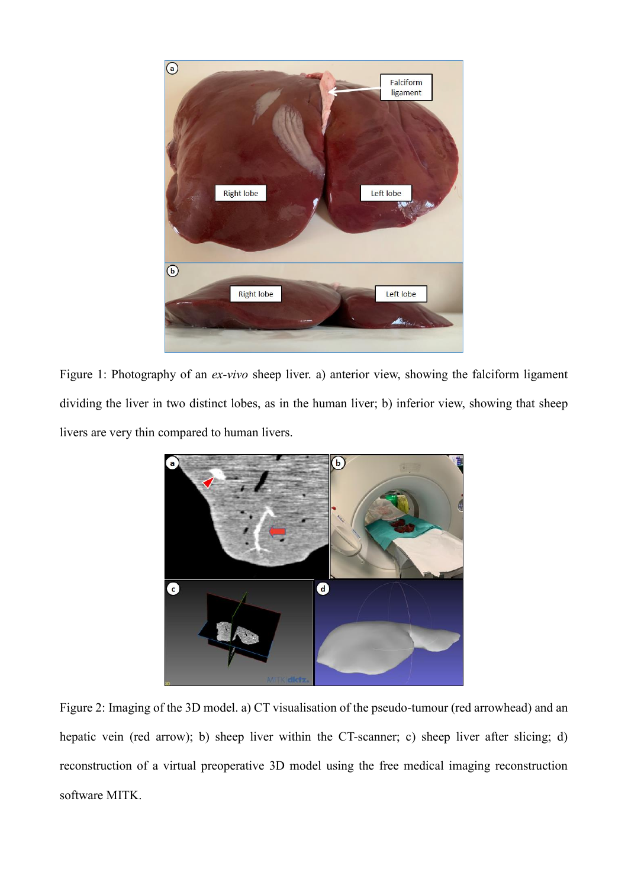

Figure 1: Photography of an *ex-vivo* sheep liver. a) anterior view, showing the falciform ligament dividing the liver in two distinct lobes, as in the human liver; b) inferior view, showing that sheep livers are very thin compared to human livers.



Figure 2: Imaging of the 3D model. a) CT visualisation of the pseudo-tumour (red arrowhead) and an hepatic vein (red arrow); b) sheep liver within the CT-scanner; c) sheep liver after slicing; d) reconstruction of a virtual preoperative 3D model using the free medical imaging reconstruction software MITK.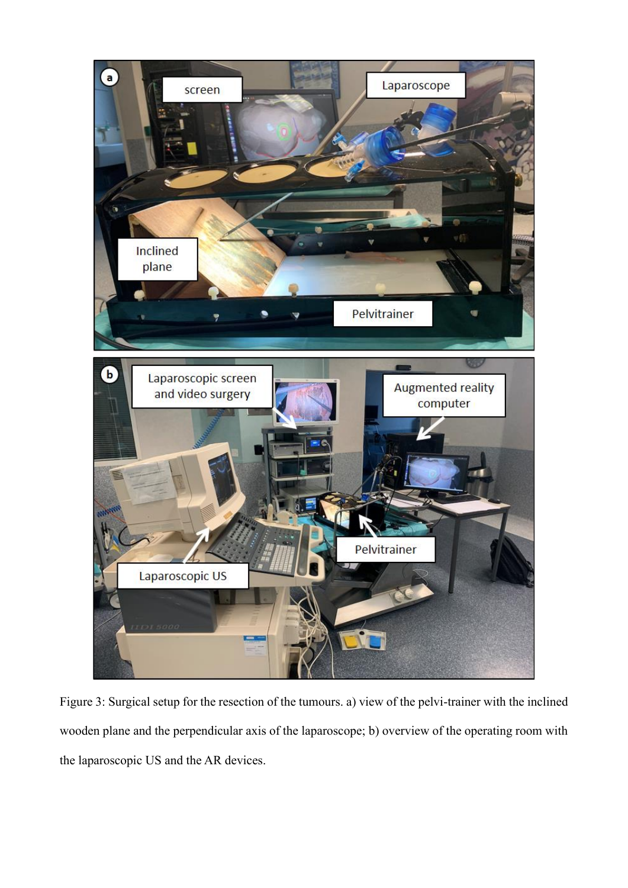

Figure 3: Surgical setup for the resection of the tumours. a) view of the pelvi-trainer with the inclined wooden plane and the perpendicular axis of the laparoscope; b) overview of the operating room with the laparoscopic US and the AR devices.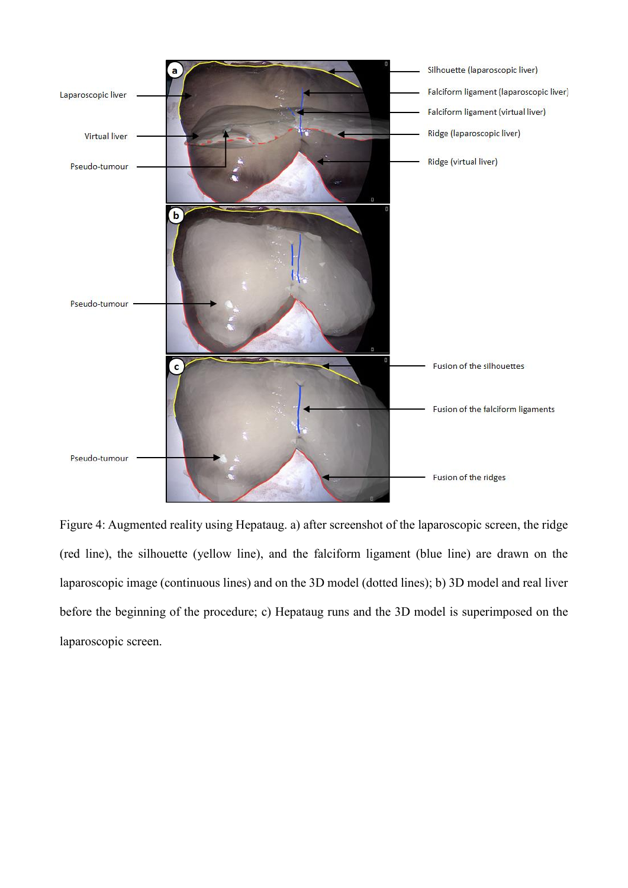

Figure 4: Augmented reality using Hepataug. a) after screenshot of the laparoscopic screen, the ridge (red line), the silhouette (yellow line), and the falciform ligament (blue line) are drawn on the laparoscopic image (continuous lines) and on the 3D model (dotted lines); b) 3D model and real liver before the beginning of the procedure; c) Hepataug runs and the 3D model is superimposed on the laparoscopic screen.